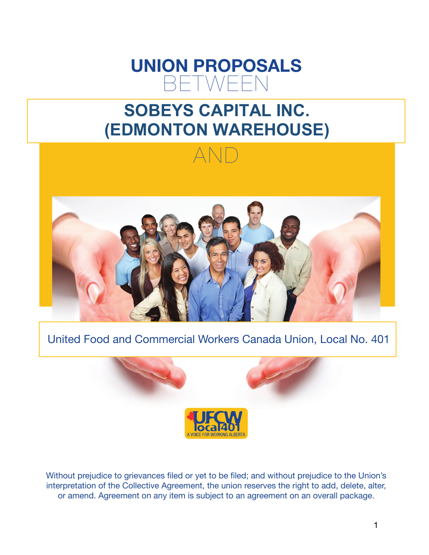# **UNION PROPOSALS** BETWEEN

# **SOBEYS CAPITAL INC. (EDMONTON WAREHOUSE)**



# United Food and Commercial Workers Canada Union, Local No. 401



Without prejudice to grievances filed or yet to be filed; and without prejudice to the Union's interpretation of the Collective Agreement, the union reserves the right to add, delete, alter, or amend. Agreement on any item is subject to an agreement on an overall package.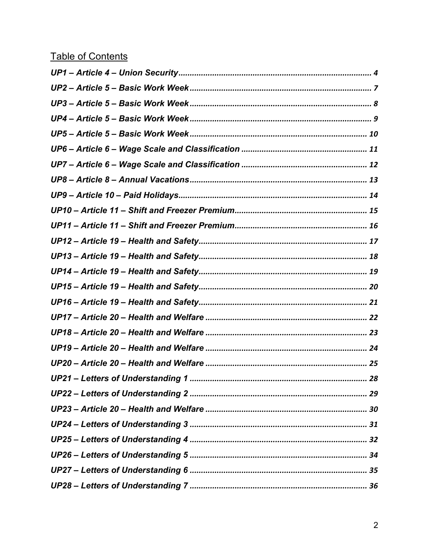# **Table of Contents**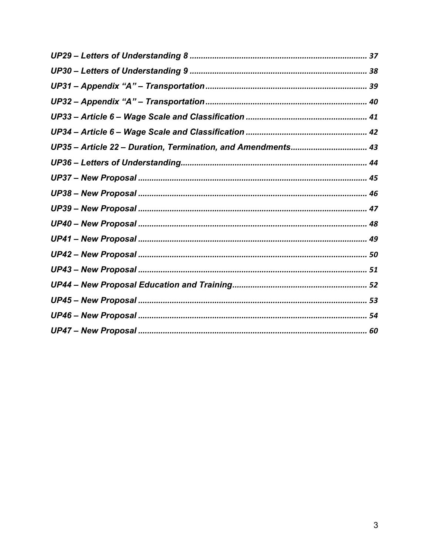| UP35 - Article 22 - Duration, Termination, and Amendments 43 |
|--------------------------------------------------------------|
|                                                              |
|                                                              |
|                                                              |
|                                                              |
|                                                              |
|                                                              |
|                                                              |
|                                                              |
|                                                              |
|                                                              |
|                                                              |
|                                                              |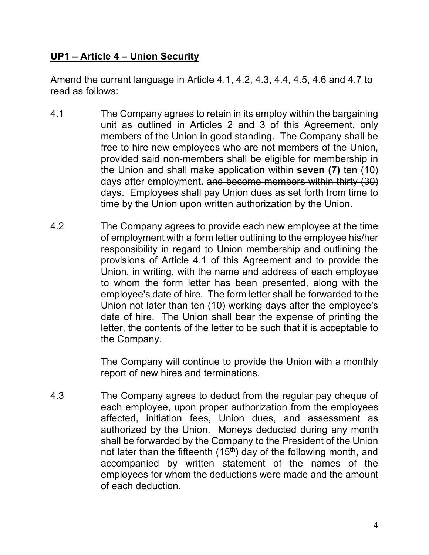### **UP1 – Article 4 – Union Security**

Amend the current language in Article 4.1, 4.2, 4.3, 4.4, 4.5, 4.6 and 4.7 to read as follows:

- 4.1 The Company agrees to retain in its employ within the bargaining unit as outlined in Articles 2 and 3 of this Agreement, only members of the Union in good standing. The Company shall be free to hire new employees who are not members of the Union, provided said non-members shall be eligible for membership in the Union and shall make application within **seven (7)** ten (10) days after employment**.** and become members within thirty (30) days. Employees shall pay Union dues as set forth from time to time by the Union upon written authorization by the Union.
- 4.2 The Company agrees to provide each new employee at the time of employment with a form letter outlining to the employee his/her responsibility in regard to Union membership and outlining the provisions of Article 4.1 of this Agreement and to provide the Union, in writing, with the name and address of each employee to whom the form letter has been presented, along with the employee's date of hire. The form letter shall be forwarded to the Union not later than ten (10) working days after the employee's date of hire. The Union shall bear the expense of printing the letter, the contents of the letter to be such that it is acceptable to the Company.

The Company will continue to provide the Union with a monthly report of new hires and terminations.

4.3 The Company agrees to deduct from the regular pay cheque of each employee, upon proper authorization from the employees affected, initiation fees, Union dues, and assessment as authorized by the Union. Moneys deducted during any month shall be forwarded by the Company to the President of the Union not later than the fifteenth  $(15<sup>th</sup>)$  day of the following month, and accompanied by written statement of the names of the employees for whom the deductions were made and the amount of each deduction.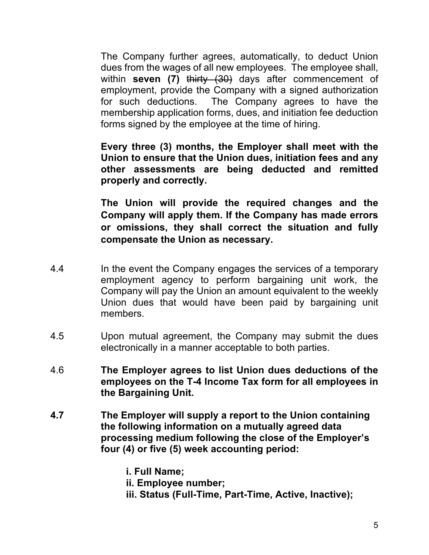The Company further agrees, automatically, to deduct Union dues from the wages of all new employees. The employee shall, within **seven** (7) thirty (30) days after commencement of employment, provide the Company with a signed authorization for such deductions. The Company agrees to have the membership application forms, dues, and initiation fee deduction forms signed by the employee at the time of hiring.

**Every three (3) months, the Employer shall meet with the Union to ensure that the Union dues, initiation fees and any other assessments are being deducted and remitted properly and correctly.** 

**The Union will provide the required changes and the Company will apply them. If the Company has made errors or omissions, they shall correct the situation and fully compensate the Union as necessary.** 

- 4.4 In the event the Company engages the services of a temporary employment agency to perform bargaining unit work, the Company will pay the Union an amount equivalent to the weekly Union dues that would have been paid by bargaining unit members.
- 4.5 Upon mutual agreement, the Company may submit the dues electronically in a manner acceptable to both parties.
- 4.6 **The Employer agrees to list Union dues deductions of the employees on the T-4 Income Tax form for all employees in the Bargaining Unit.**
- **4.7 The Employer will supply a report to the Union containing the following information on a mutually agreed data processing medium following the close of the Employer's four (4) or five (5) week accounting period:**

**i. Full Name;** 

**ii. Employee number;** 

**iii. Status (Full-Time, Part-Time, Active, Inactive);**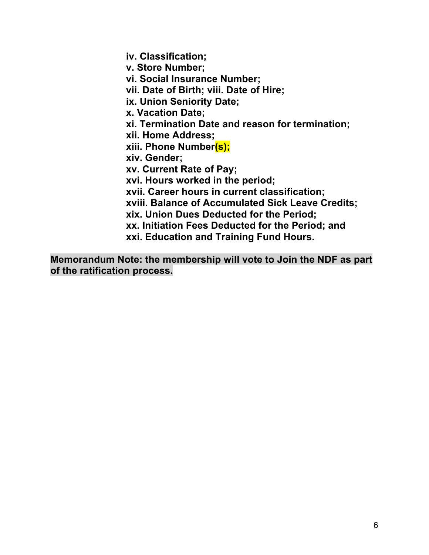**iv. Classification; v. Store Number; vi. Social Insurance Number; vii. Date of Birth; viii. Date of Hire; ix. Union Seniority Date; x. Vacation Date; xi. Termination Date and reason for termination; xii. Home Address; xiii. Phone Number(s); xiv. Gender; xv. Current Rate of Pay; xvi. Hours worked in the period; xvii. Career hours in current classification; xviii. Balance of Accumulated Sick Leave Credits; xix. Union Dues Deducted for the Period; xx. Initiation Fees Deducted for the Period; and xxi. Education and Training Fund Hours.**

**Memorandum Note: the membership will vote to Join the NDF as part of the ratification process.**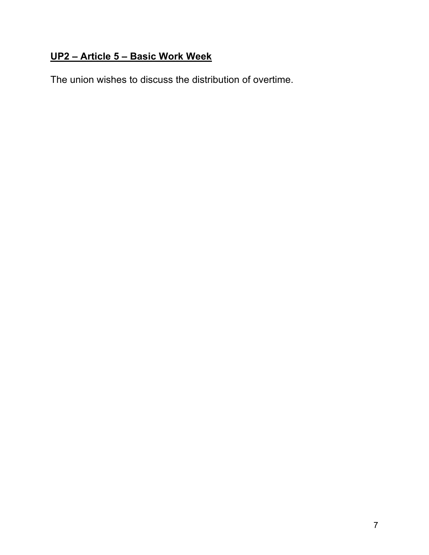# **UP2 – Article 5 – Basic Work Week**

The union wishes to discuss the distribution of overtime.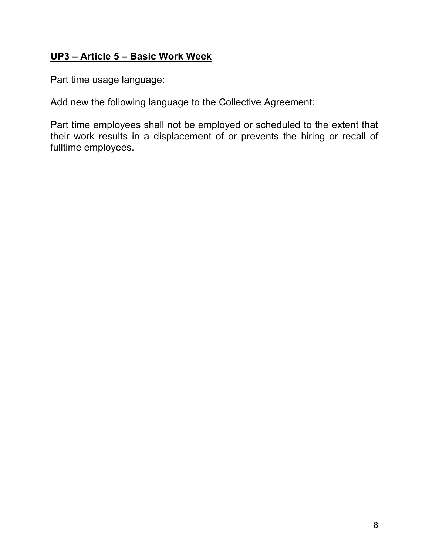### **UP3 – Article 5 – Basic Work Week**

Part time usage language:

Add new the following language to the Collective Agreement:

Part time employees shall not be employed or scheduled to the extent that their work results in a displacement of or prevents the hiring or recall of fulltime employees.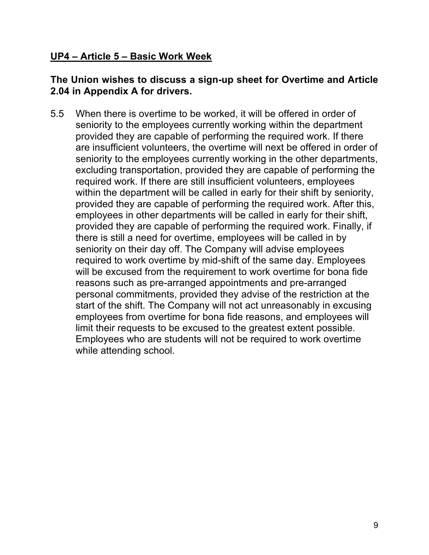### **UP4 – Article 5 – Basic Work Week**

#### **The Union wishes to discuss a sign-up sheet for Overtime and Article 2.04 in Appendix A for drivers.**

5.5 When there is overtime to be worked, it will be offered in order of seniority to the employees currently working within the department provided they are capable of performing the required work. If there are insufficient volunteers, the overtime will next be offered in order of seniority to the employees currently working in the other departments, excluding transportation, provided they are capable of performing the required work. If there are still insufficient volunteers, employees within the department will be called in early for their shift by seniority, provided they are capable of performing the required work. After this, employees in other departments will be called in early for their shift, provided they are capable of performing the required work. Finally, if there is still a need for overtime, employees will be called in by seniority on their day off. The Company will advise employees required to work overtime by mid-shift of the same day. Employees will be excused from the requirement to work overtime for bona fide reasons such as pre-arranged appointments and pre-arranged personal commitments, provided they advise of the restriction at the start of the shift. The Company will not act unreasonably in excusing employees from overtime for bona fide reasons, and employees will limit their requests to be excused to the greatest extent possible. Employees who are students will not be required to work overtime while attending school.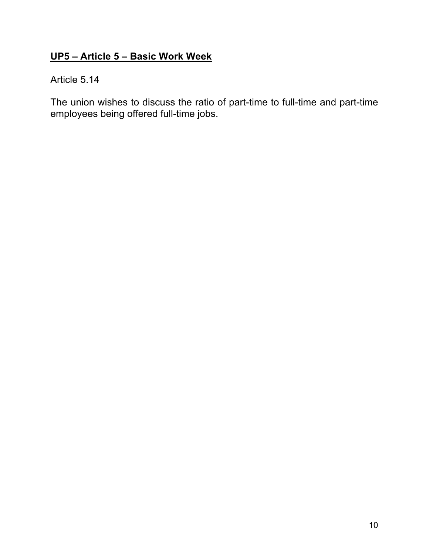# **UP5 – Article 5 – Basic Work Week**

#### Article 5.14

The union wishes to discuss the ratio of part-time to full-time and part-time employees being offered full-time jobs.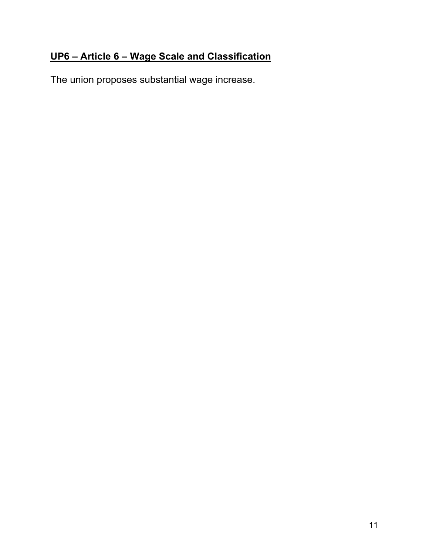# **UP6 – Article 6 – Wage Scale and Classification**

The union proposes substantial wage increase.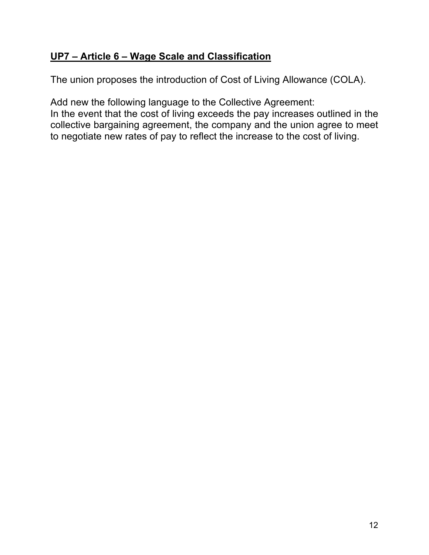# **UP7 – Article 6 – Wage Scale and Classification**

The union proposes the introduction of Cost of Living Allowance (COLA).

Add new the following language to the Collective Agreement: In the event that the cost of living exceeds the pay increases outlined in the collective bargaining agreement, the company and the union agree to meet to negotiate new rates of pay to reflect the increase to the cost of living.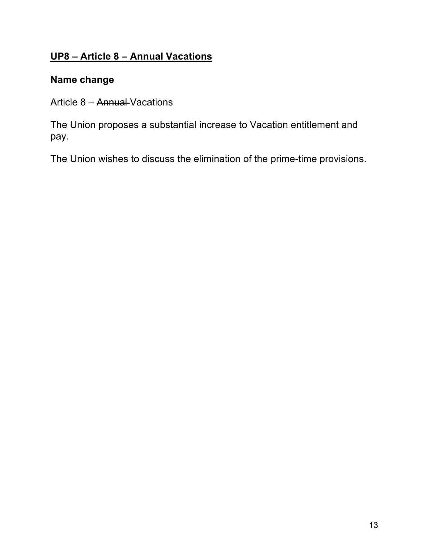# **UP8 – Article 8 – Annual Vacations**

### **Name change**

# Article 8 - Annual Vacations

The Union proposes a substantial increase to Vacation entitlement and pay.

The Union wishes to discuss the elimination of the prime-time provisions.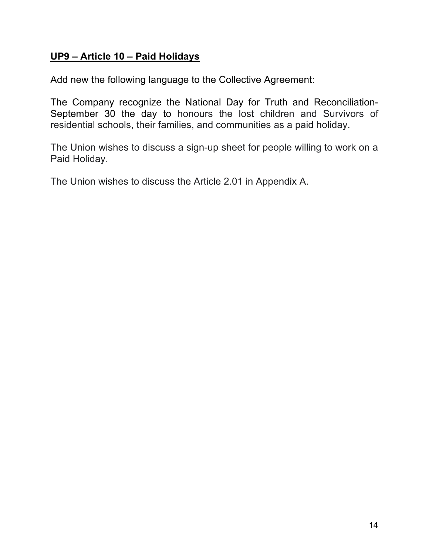### **UP9 – Article 10 – Paid Holidays**

Add new the following language to the Collective Agreement:

The Company recognize the National Day for Truth and Reconciliation-September 30 the day to honours the lost children and Survivors of residential schools, their families, and communities as a paid holiday.

The Union wishes to discuss a sign-up sheet for people willing to work on a Paid Holiday.

The Union wishes to discuss the Article 2.01 in Appendix A.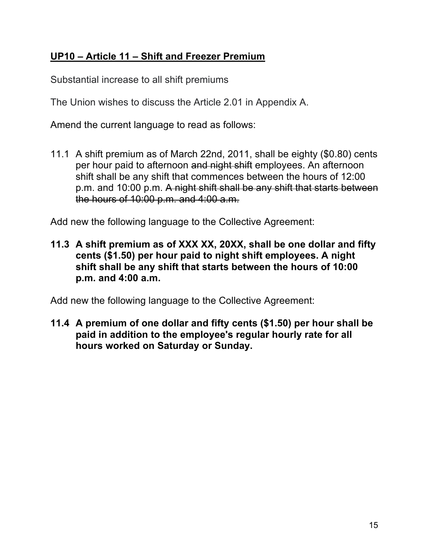# **UP10 – Article 11 – Shift and Freezer Premium**

Substantial increase to all shift premiums

The Union wishes to discuss the Article 2.01 in Appendix A.

Amend the current language to read as follows:

11.1 A shift premium as of March 22nd, 2011, shall be eighty (\$0.80) cents per hour paid to afternoon and night shift employees. An afternoon shift shall be any shift that commences between the hours of 12:00 p.m. and 10:00 p.m. A night shift shall be any shift that starts between the hours of 10:00 p.m. and 4:00 a.m.

Add new the following language to the Collective Agreement:

**11.3 A shift premium as of XXX XX, 20XX, shall be one dollar and fifty cents (\$1.50) per hour paid to night shift employees. A night shift shall be any shift that starts between the hours of 10:00 p.m. and 4:00 a.m.**

Add new the following language to the Collective Agreement:

**11.4 A premium of one dollar and fifty cents (\$1.50) per hour shall be paid in addition to the employee's regular hourly rate for all hours worked on Saturday or Sunday.**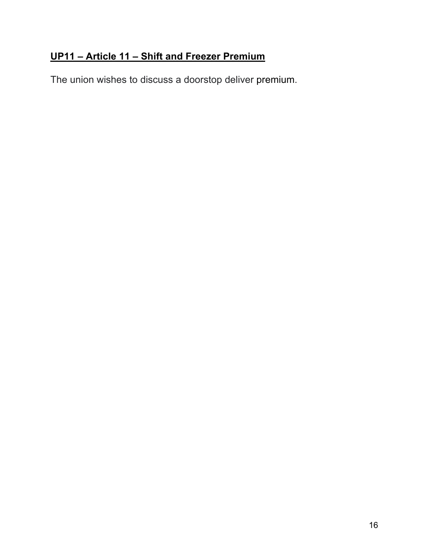# **UP11 – Article 11 – Shift and Freezer Premium**

The union wishes to discuss a doorstop deliver premium.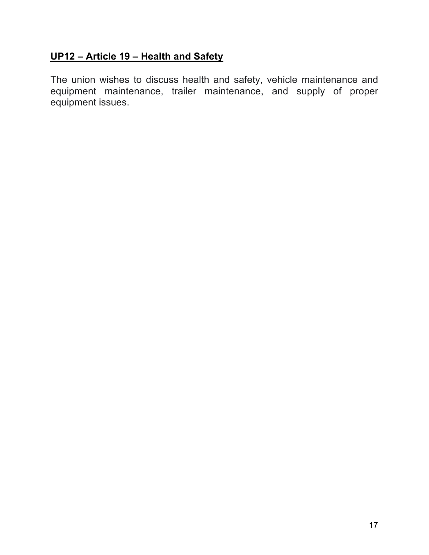### **UP12 – Article 19 – Health and Safety**

The union wishes to discuss health and safety, vehicle maintenance and equipment maintenance, trailer maintenance, and supply of proper equipment issues.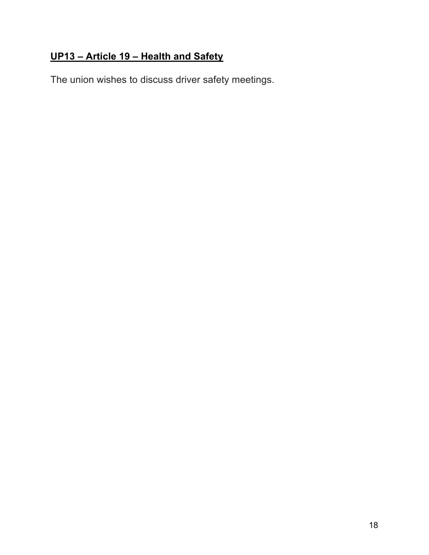# **UP13 – Article 19 – Health and Safety**

The union wishes to discuss driver safety meetings.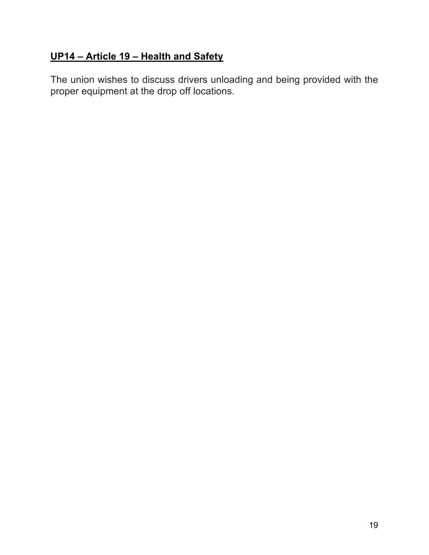# **UP14 – Article 19 – Health and Safety**

The union wishes to discuss drivers unloading and being provided with the proper equipment at the drop off locations.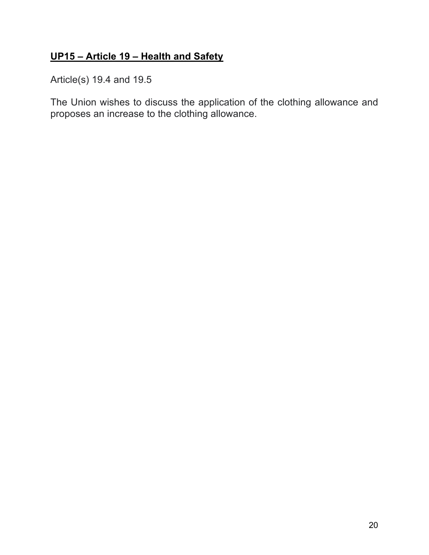# **UP15 – Article 19 – Health and Safety**

Article(s) 19.4 and 19.5

The Union wishes to discuss the application of the clothing allowance and proposes an increase to the clothing allowance.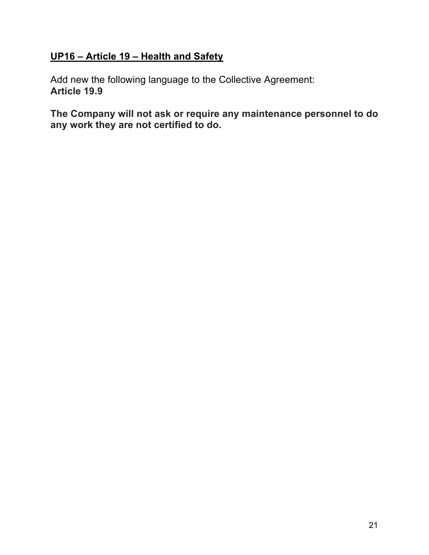### **UP16 – Article 19 – Health and Safety**

Add new the following language to the Collective Agreement: **Article 19.9**

**The Company will not ask or require any maintenance personnel to do any work they are not certified to do.**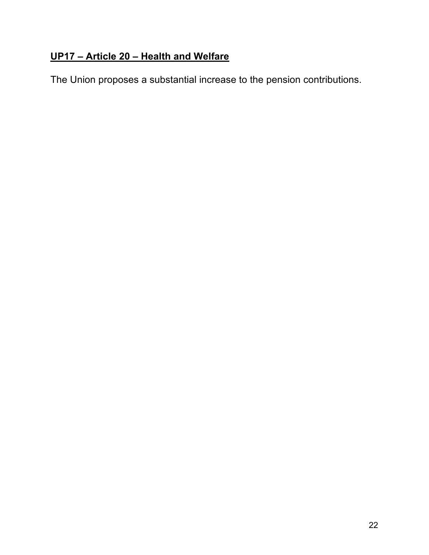# **UP17 – Article 20 – Health and Welfare**

The Union proposes a substantial increase to the pension contributions.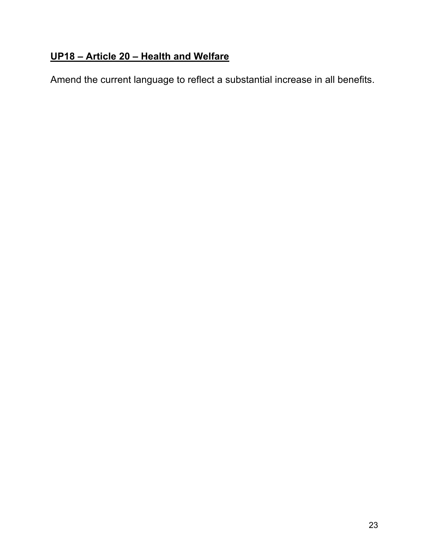# **UP18 – Article 20 – Health and Welfare**

Amend the current language to reflect a substantial increase in all benefits.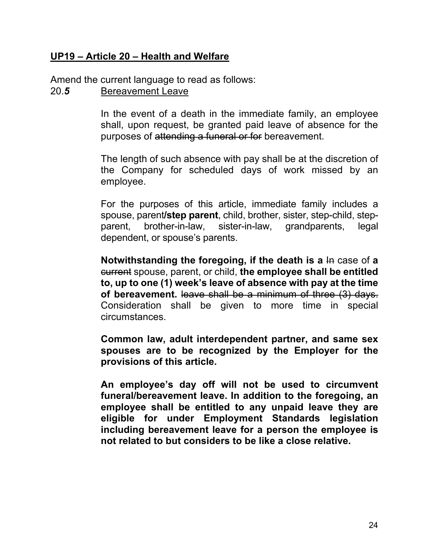#### **UP19 – Article 20 – Health and Welfare**

Amend the current language to read as follows:

#### 20.*5* Bereavement Leave

In the event of a death in the immediate family, an employee shall, upon request, be granted paid leave of absence for the purposes of attending a funeral or for bereavement.

The length of such absence with pay shall be at the discretion of the Company for scheduled days of work missed by an employee.

For the purposes of this article, immediate family includes a spouse, parent**/step parent**, child, brother, sister, step-child, stepparent, brother-in-law, sister-in-law, grandparents, legal dependent, or spouse's parents.

**Notwithstanding the foregoing, if the death is a**  $\text{In } \text{case of a}$ current spouse, parent, or child, **the employee shall be entitled to, up to one (1) week's leave of absence with pay at the time of bereavement.** leave shall be a minimum of three (3) days. Consideration shall be given to more time in special circumstances.

**Common law, adult interdependent partner, and same sex spouses are to be recognized by the Employer for the provisions of this article.** 

**An employee's day off will not be used to circumvent funeral/bereavement leave. In addition to the foregoing, an employee shall be entitled to any unpaid leave they are eligible for under Employment Standards legislation including bereavement leave for a person the employee is not related to but considers to be like a close relative.**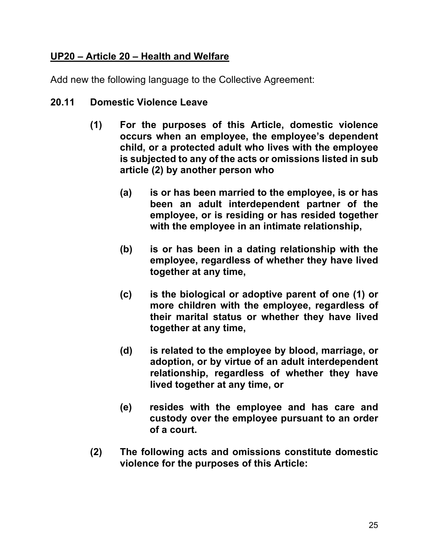### **UP20 – Article 20 – Health and Welfare**

Add new the following language to the Collective Agreement:

#### **20.11 Domestic Violence Leave**

- **(1) For the purposes of this Article, domestic violence occurs when an employee, the employee's dependent child, or a protected adult who lives with the employee is subjected to any of the acts or omissions listed in sub article (2) by another person who**
	- **(a) is or has been married to the employee, is or has been an adult interdependent partner of the employee, or is residing or has resided together with the employee in an intimate relationship,**
	- **(b) is or has been in a dating relationship with the employee, regardless of whether they have lived together at any time,**
	- **(c) is the biological or adoptive parent of one (1) or more children with the employee, regardless of their marital status or whether they have lived together at any time,**
	- **(d) is related to the employee by blood, marriage, or adoption, or by virtue of an adult interdependent relationship, regardless of whether they have lived together at any time, or**
	- **(e) resides with the employee and has care and custody over the employee pursuant to an order of a court.**
- **(2) The following acts and omissions constitute domestic violence for the purposes of this Article:**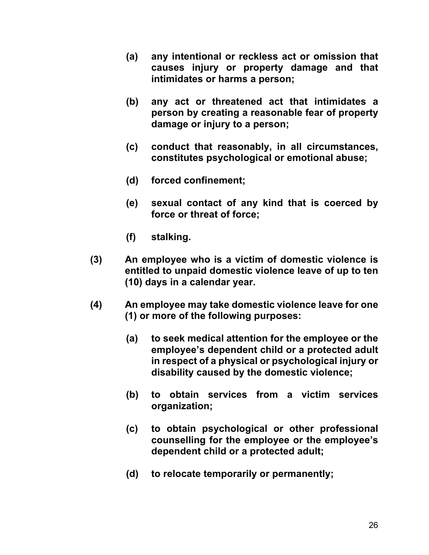- **(a) any intentional or reckless act or omission that causes injury or property damage and that intimidates or harms a person;**
- **(b) any act or threatened act that intimidates a person by creating a reasonable fear of property damage or injury to a person;**
- **(c) conduct that reasonably, in all circumstances, constitutes psychological or emotional abuse;**
- **(d) forced confinement;**
- **(e) sexual contact of any kind that is coerced by force or threat of force;**
- **(f) stalking.**
- **(3) An employee who is a victim of domestic violence is entitled to unpaid domestic violence leave of up to ten (10) days in a calendar year.**
- **(4) An employee may take domestic violence leave for one (1) or more of the following purposes:** 
	- **(a) to seek medical attention for the employee or the employee's dependent child or a protected adult in respect of a physical or psychological injury or disability caused by the domestic violence;**
	- **(b) to obtain services from a victim services organization;**
	- **(c) to obtain psychological or other professional counselling for the employee or the employee's dependent child or a protected adult;**
	- **(d) to relocate temporarily or permanently;**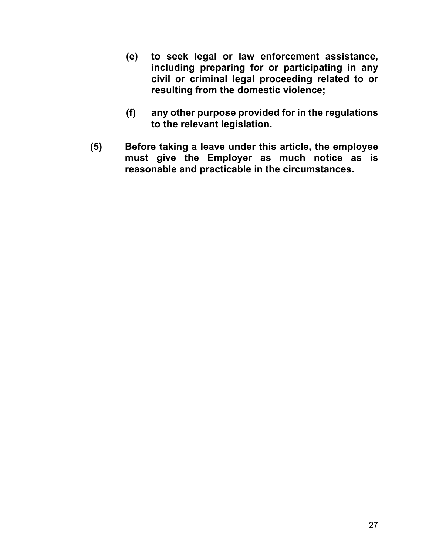- **(e) to seek legal or law enforcement assistance, including preparing for or participating in any civil or criminal legal proceeding related to or resulting from the domestic violence;**
- **(f) any other purpose provided for in the regulations to the relevant legislation.**
- **(5) Before taking a leave under this article, the employee must give the Employer as much notice as is reasonable and practicable in the circumstances.**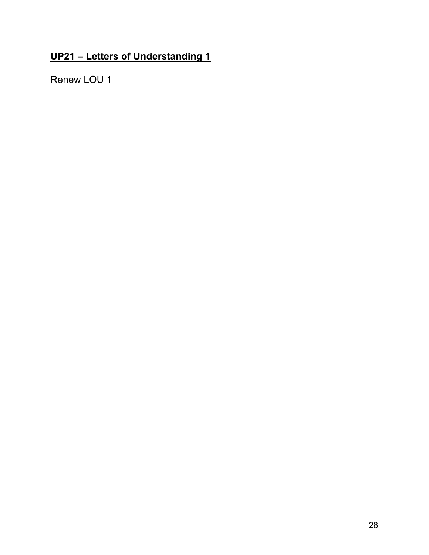# **UP21 – Letters of Understanding 1**

Renew LOU 1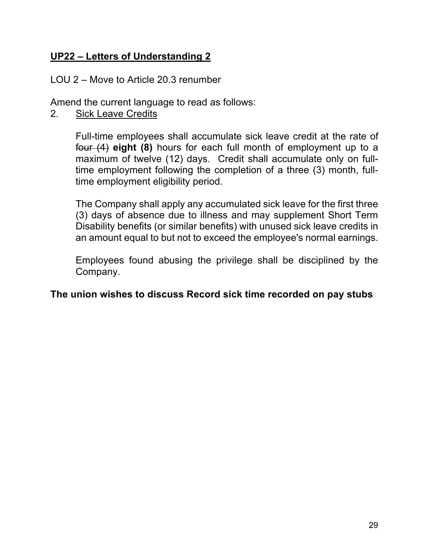### **UP22 – Letters of Understanding 2**

#### LOU 2 – Move to Article 20.3 renumber

Amend the current language to read as follows:

2. Sick Leave Credits

Full-time employees shall accumulate sick leave credit at the rate of four (4) **eight (8)** hours for each full month of employment up to a maximum of twelve (12) days. Credit shall accumulate only on fulltime employment following the completion of a three (3) month, fulltime employment eligibility period.

The Company shall apply any accumulated sick leave for the first three (3) days of absence due to illness and may supplement Short Term Disability benefits (or similar benefits) with unused sick leave credits in an amount equal to but not to exceed the employee's normal earnings.

Employees found abusing the privilege shall be disciplined by the Company.

#### **The union wishes to discuss Record sick time recorded on pay stubs**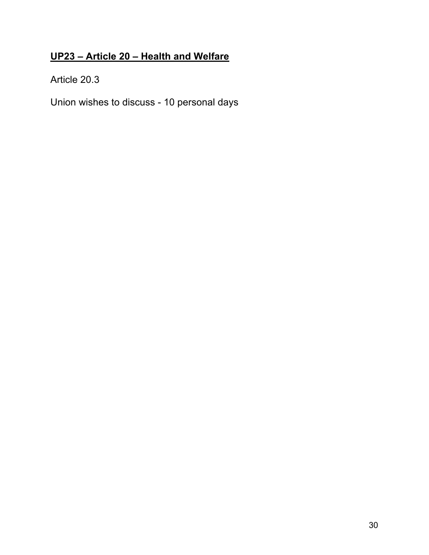# **UP23 – Article 20 – Health and Welfare**

Article 20.3

Union wishes to discuss - 10 personal days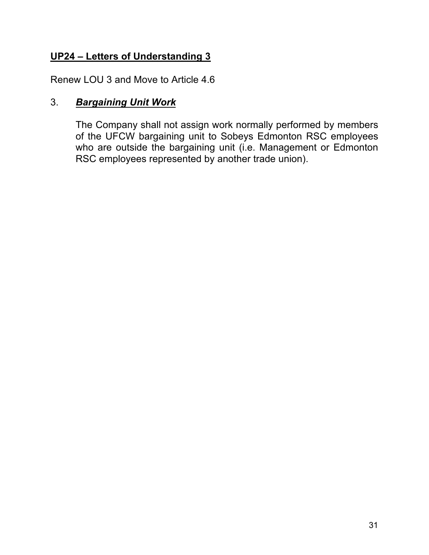# **UP24 – Letters of Understanding 3**

Renew LOU 3 and Move to Article 4.6

# 3. *Bargaining Unit Work*

The Company shall not assign work normally performed by members of the UFCW bargaining unit to Sobeys Edmonton RSC employees who are outside the bargaining unit (i.e. Management or Edmonton RSC employees represented by another trade union).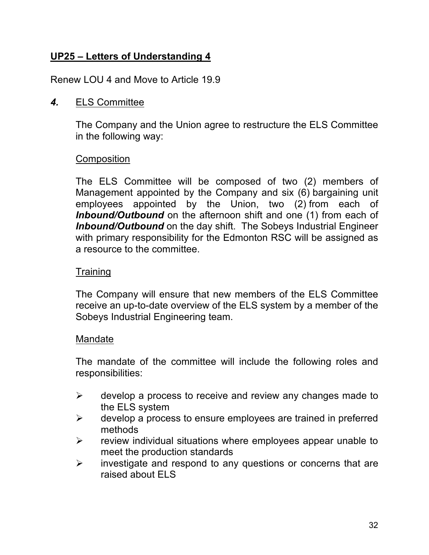# **UP25 – Letters of Understanding 4**

Renew LOU 4 and Move to Article 19.9

#### *4.* ELS Committee

The Company and the Union agree to restructure the ELS Committee in the following way:

#### **Composition**

The ELS Committee will be composed of two (2) members of Management appointed by the Company and six (6) bargaining unit employees appointed by the Union, two (2) from each of *Inbound/Outbound* on the afternoon shift and one (1) from each of *Inbound/Outbound* on the day shift. The Sobeys Industrial Engineer with primary responsibility for the Edmonton RSC will be assigned as a resource to the committee.

#### **Training**

The Company will ensure that new members of the ELS Committee receive an up-to-date overview of the ELS system by a member of the Sobeys Industrial Engineering team.

#### Mandate

The mandate of the committee will include the following roles and responsibilities:

- $\triangleright$  develop a process to receive and review any changes made to the ELS system
- $\triangleright$  develop a process to ensure employees are trained in preferred methods
- $\triangleright$  review individual situations where employees appear unable to meet the production standards
- $\triangleright$  investigate and respond to any questions or concerns that are raised about ELS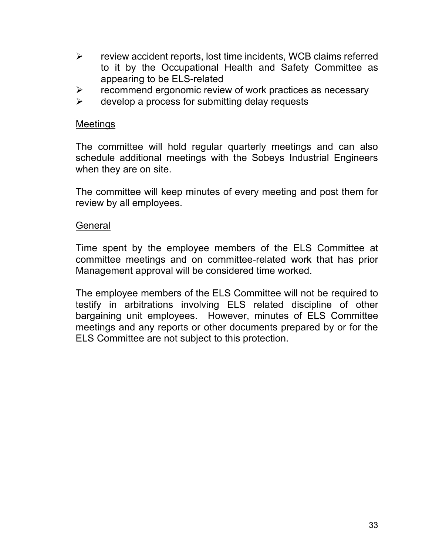- $\triangleright$  review accident reports, lost time incidents, WCB claims referred to it by the Occupational Health and Safety Committee as appearing to be ELS-related
- $\triangleright$  recommend ergonomic review of work practices as necessary
- $\triangleright$  develop a process for submitting delay requests

#### Meetings

The committee will hold regular quarterly meetings and can also schedule additional meetings with the Sobeys Industrial Engineers when they are on site.

The committee will keep minutes of every meeting and post them for review by all employees.

#### General

Time spent by the employee members of the ELS Committee at committee meetings and on committee-related work that has prior Management approval will be considered time worked.

The employee members of the ELS Committee will not be required to testify in arbitrations involving ELS related discipline of other bargaining unit employees. However, minutes of ELS Committee meetings and any reports or other documents prepared by or for the ELS Committee are not subject to this protection.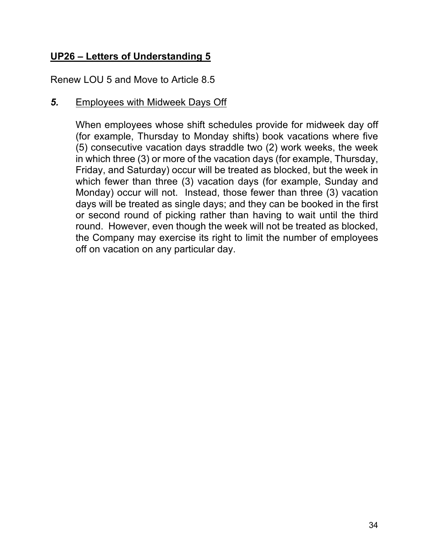# **UP26 – Letters of Understanding 5**

Renew LOU 5 and Move to Article 8.5

#### *5.* Employees with Midweek Days Off

When employees whose shift schedules provide for midweek day off (for example, Thursday to Monday shifts) book vacations where five (5) consecutive vacation days straddle two (2) work weeks, the week in which three (3) or more of the vacation days (for example, Thursday, Friday, and Saturday) occur will be treated as blocked, but the week in which fewer than three (3) vacation days (for example, Sunday and Monday) occur will not. Instead, those fewer than three (3) vacation days will be treated as single days; and they can be booked in the first or second round of picking rather than having to wait until the third round. However, even though the week will not be treated as blocked, the Company may exercise its right to limit the number of employees off on vacation on any particular day.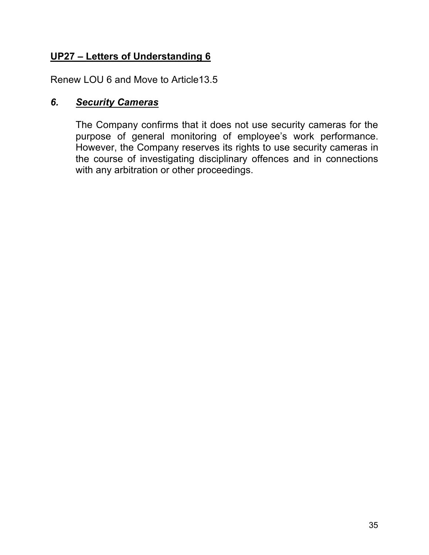# **UP27 – Letters of Understanding 6**

Renew LOU 6 and Move to Article13.5

#### *6. Security Cameras*

The Company confirms that it does not use security cameras for the purpose of general monitoring of employee's work performance. However, the Company reserves its rights to use security cameras in the course of investigating disciplinary offences and in connections with any arbitration or other proceedings.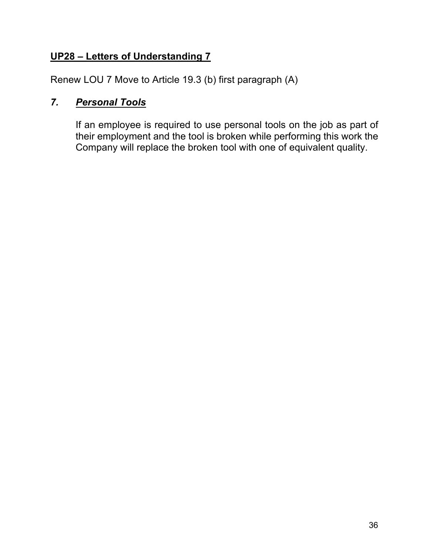## **UP28 – Letters of Understanding 7**

Renew LOU 7 Move to Article 19.3 (b) first paragraph (A)

# *7. Personal Tools*

If an employee is required to use personal tools on the job as part of their employment and the tool is broken while performing this work the Company will replace the broken tool with one of equivalent quality.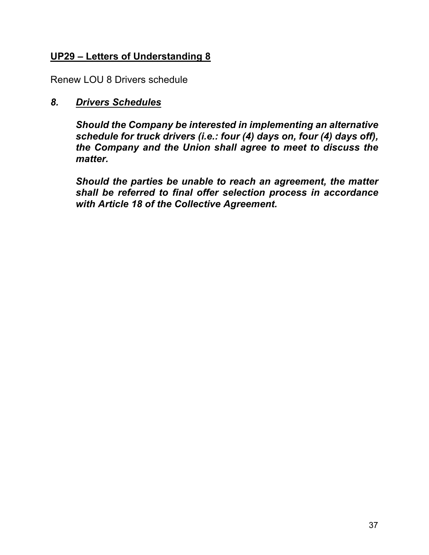### **UP29 – Letters of Understanding 8**

Renew LOU 8 Drivers schedule

#### *8. Drivers Schedules*

*Should the Company be interested in implementing an alternative schedule for truck drivers (i.e.: four (4) days on, four (4) days off), the Company and the Union shall agree to meet to discuss the matter.*

*Should the parties be unable to reach an agreement, the matter shall be referred to final offer selection process in accordance with Article 18 of the Collective Agreement.*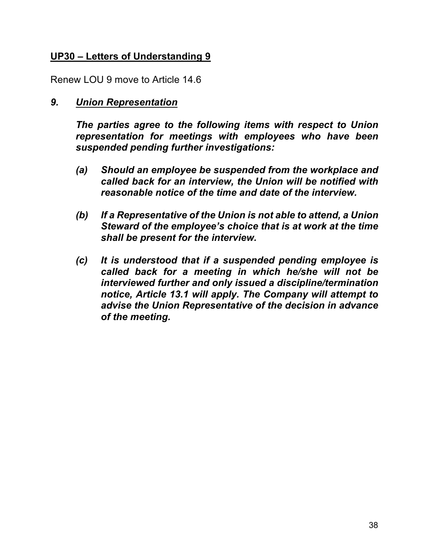### **UP30 – Letters of Understanding 9**

Renew LOU 9 move to Article 14.6

#### *9. Union Representation*

*The parties agree to the following items with respect to Union representation for meetings with employees who have been suspended pending further investigations:*

- *(a) Should an employee be suspended from the workplace and called back for an interview, the Union will be notified with reasonable notice of the time and date of the interview.*
- *(b) If a Representative of the Union is not able to attend, a Union Steward of the employee's choice that is at work at the time shall be present for the interview.*
- *(c) It is understood that if a suspended pending employee is called back for a meeting in which he/she will not be interviewed further and only issued a discipline/termination notice, Article 13.1 will apply. The Company will attempt to advise the Union Representative of the decision in advance of the meeting.*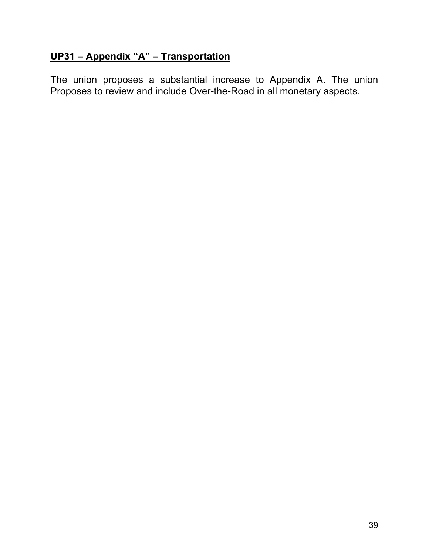# **UP31 – Appendix "A" – Transportation**

The union proposes a substantial increase to Appendix A. The union Proposes to review and include Over-the-Road in all monetary aspects.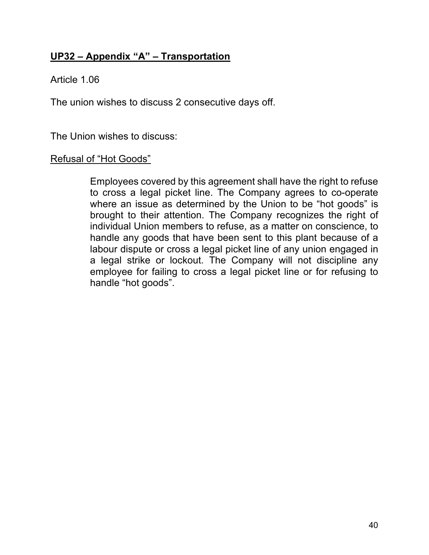## **UP32 – Appendix "A" – Transportation**

Article 1.06

The union wishes to discuss 2 consecutive days off.

The Union wishes to discuss:

#### Refusal of "Hot Goods"

Employees covered by this agreement shall have the right to refuse to cross a legal picket line. The Company agrees to co-operate where an issue as determined by the Union to be "hot goods" is brought to their attention. The Company recognizes the right of individual Union members to refuse, as a matter on conscience, to handle any goods that have been sent to this plant because of a labour dispute or cross a legal picket line of any union engaged in a legal strike or lockout. The Company will not discipline any employee for failing to cross a legal picket line or for refusing to handle "hot goods".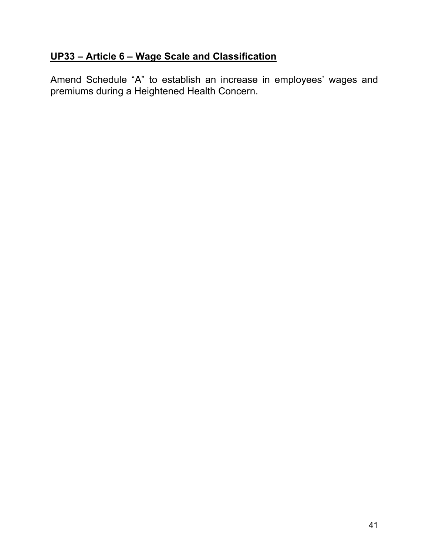# **UP33 – Article 6 – Wage Scale and Classification**

Amend Schedule "A" to establish an increase in employees' wages and premiums during a Heightened Health Concern.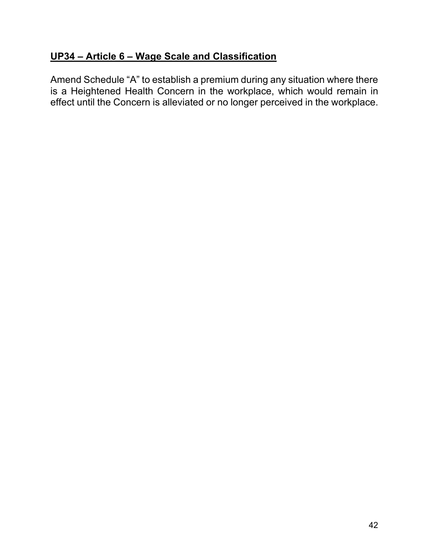### **UP34 – Article 6 – Wage Scale and Classification**

Amend Schedule "A" to establish a premium during any situation where there is a Heightened Health Concern in the workplace, which would remain in effect until the Concern is alleviated or no longer perceived in the workplace.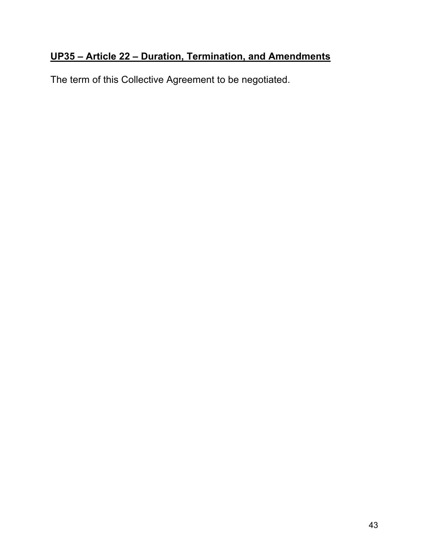# **UP35 – Article 22 – Duration, Termination, and Amendments**

The term of this Collective Agreement to be negotiated.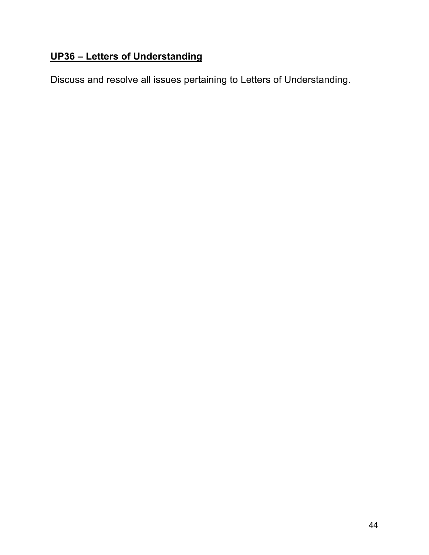# **UP36 – Letters of Understanding**

Discuss and resolve all issues pertaining to Letters of Understanding.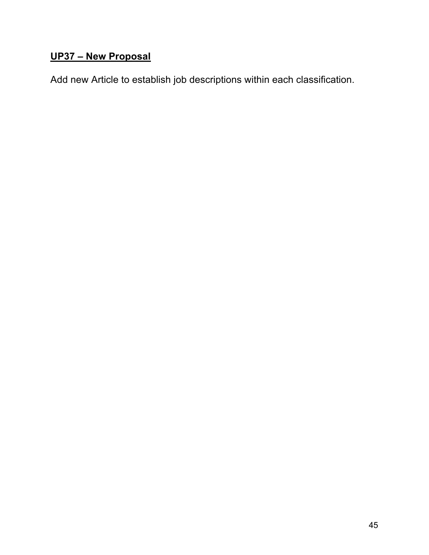# **UP37 – New Proposal**

Add new Article to establish job descriptions within each classification.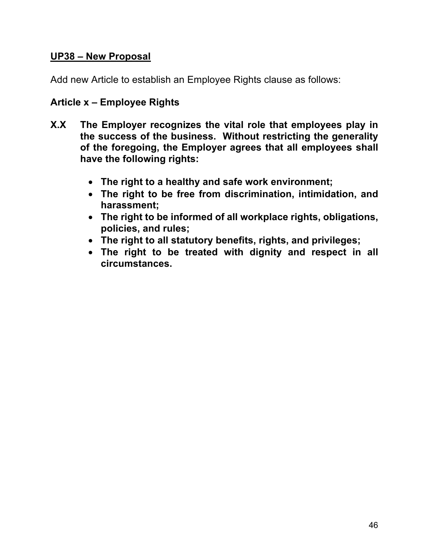#### **UP38 – New Proposal**

Add new Article to establish an Employee Rights clause as follows:

#### **Article x – Employee Rights**

- **X.X The Employer recognizes the vital role that employees play in the success of the business. Without restricting the generality of the foregoing, the Employer agrees that all employees shall have the following rights:** 
	- **The right to a healthy and safe work environment;**
	- **The right to be free from discrimination, intimidation, and harassment;**
	- **The right to be informed of all workplace rights, obligations, policies, and rules;**
	- **The right to all statutory benefits, rights, and privileges;**
	- **The right to be treated with dignity and respect in all circumstances.**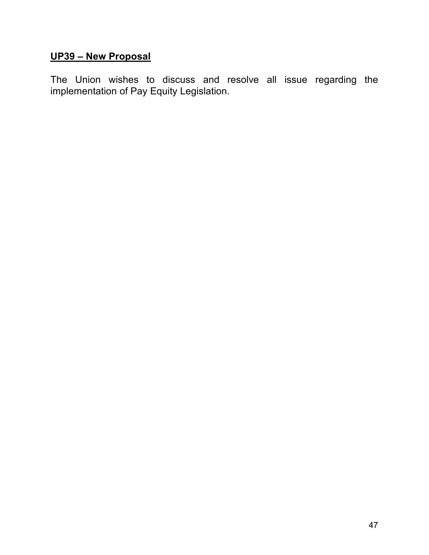# **UP39 – New Proposal**

The Union wishes to discuss and resolve all issue regarding the implementation of Pay Equity Legislation.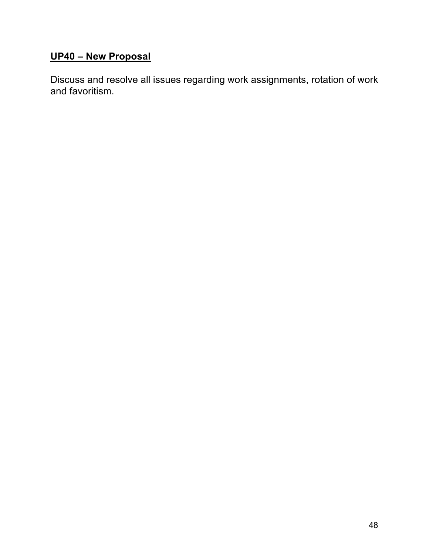# **UP40 – New Proposal**

Discuss and resolve all issues regarding work assignments, rotation of work and favoritism.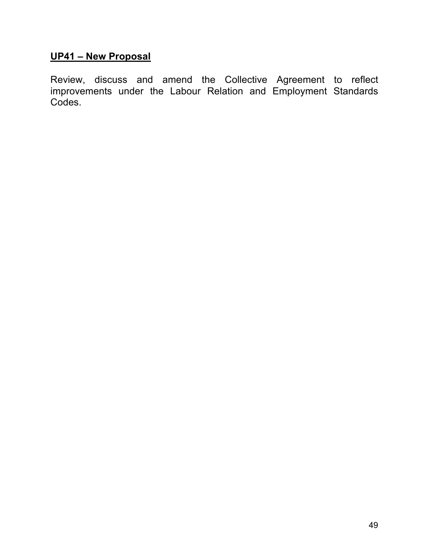# **UP41 – New Proposal**

Review, discuss and amend the Collective Agreement to reflect improvements under the Labour Relation and Employment Standards Codes.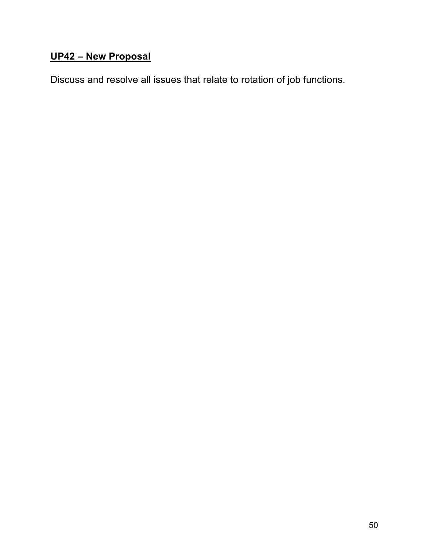# **UP42 – New Proposal**

Discuss and resolve all issues that relate to rotation of job functions.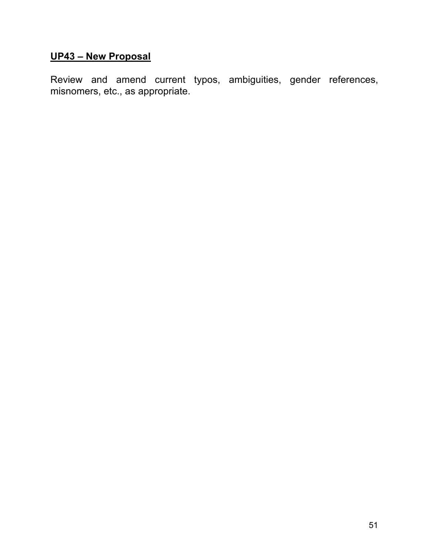# **UP43 – New Proposal**

Review and amend current typos, ambiguities, gender references, misnomers, etc., as appropriate.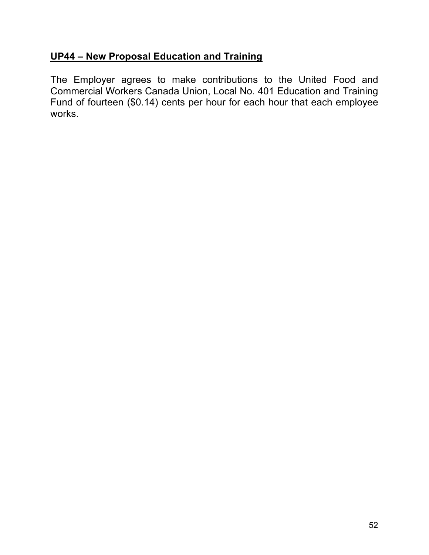### **UP44 – New Proposal Education and Training**

The Employer agrees to make contributions to the United Food and Commercial Workers Canada Union, Local No. 401 Education and Training Fund of fourteen (\$0.14) cents per hour for each hour that each employee works.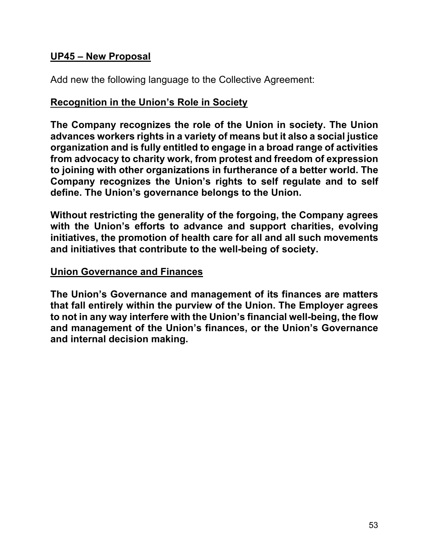#### **UP45 – New Proposal**

Add new the following language to the Collective Agreement:

#### **Recognition in the Union's Role in Society**

**The Company recognizes the role of the Union in society. The Union advances workers rights in a variety of means but it also a social justice organization and is fully entitled to engage in a broad range of activities from advocacy to charity work, from protest and freedom of expression to joining with other organizations in furtherance of a better world. The Company recognizes the Union's rights to self regulate and to self define. The Union's governance belongs to the Union.** 

**Without restricting the generality of the forgoing, the Company agrees with the Union's efforts to advance and support charities, evolving initiatives, the promotion of health care for all and all such movements and initiatives that contribute to the well-being of society.**

#### **Union Governance and Finances**

**The Union's Governance and management of its finances are matters that fall entirely within the purview of the Union. The Employer agrees to not in any way interfere with the Union's financial well-being, the flow and management of the Union's finances, or the Union's Governance and internal decision making.**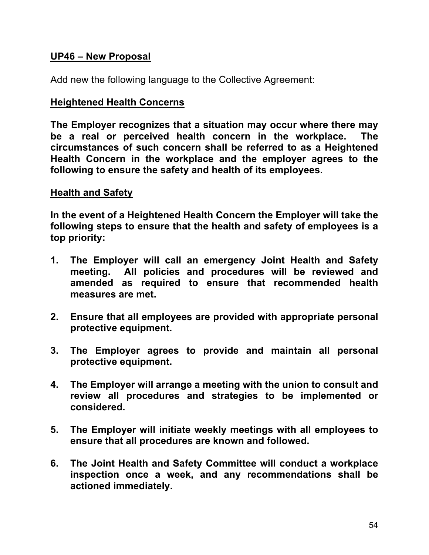#### **UP46 – New Proposal**

Add new the following language to the Collective Agreement:

#### **Heightened Health Concerns**

**The Employer recognizes that a situation may occur where there may be a real or perceived health concern in the workplace. The circumstances of such concern shall be referred to as a Heightened Health Concern in the workplace and the employer agrees to the following to ensure the safety and health of its employees.**

#### **Health and Safety**

**In the event of a Heightened Health Concern the Employer will take the following steps to ensure that the health and safety of employees is a top priority:**

- **1. The Employer will call an emergency Joint Health and Safety meeting. All policies and procedures will be reviewed and amended as required to ensure that recommended health measures are met.**
- **2. Ensure that all employees are provided with appropriate personal protective equipment.**
- **3. The Employer agrees to provide and maintain all personal protective equipment.**
- **4. The Employer will arrange a meeting with the union to consult and review all procedures and strategies to be implemented or considered.**
- **5. The Employer will initiate weekly meetings with all employees to ensure that all procedures are known and followed.**
- **6. The Joint Health and Safety Committee will conduct a workplace inspection once a week, and any recommendations shall be actioned immediately.**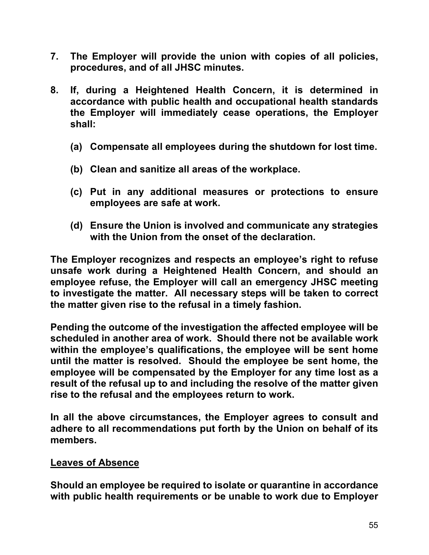- **7. The Employer will provide the union with copies of all policies, procedures, and of all JHSC minutes.**
- **8. If, during a Heightened Health Concern, it is determined in accordance with public health and occupational health standards the Employer will immediately cease operations, the Employer shall:**
	- **(a) Compensate all employees during the shutdown for lost time.**
	- **(b) Clean and sanitize all areas of the workplace.**
	- **(c) Put in any additional measures or protections to ensure employees are safe at work.**
	- **(d) Ensure the Union is involved and communicate any strategies with the Union from the onset of the declaration.**

**The Employer recognizes and respects an employee's right to refuse unsafe work during a Heightened Health Concern, and should an employee refuse, the Employer will call an emergency JHSC meeting to investigate the matter. All necessary steps will be taken to correct the matter given rise to the refusal in a timely fashion.** 

**Pending the outcome of the investigation the affected employee will be scheduled in another area of work. Should there not be available work within the employee's qualifications, the employee will be sent home until the matter is resolved. Should the employee be sent home, the employee will be compensated by the Employer for any time lost as a result of the refusal up to and including the resolve of the matter given rise to the refusal and the employees return to work.**

**In all the above circumstances, the Employer agrees to consult and adhere to all recommendations put forth by the Union on behalf of its members.**

#### **Leaves of Absence**

**Should an employee be required to isolate or quarantine in accordance with public health requirements or be unable to work due to Employer**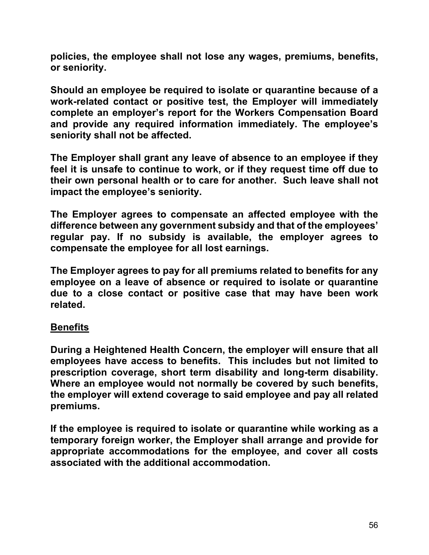**policies, the employee shall not lose any wages, premiums, benefits, or seniority.** 

**Should an employee be required to isolate or quarantine because of a work-related contact or positive test, the Employer will immediately complete an employer's report for the Workers Compensation Board and provide any required information immediately. The employee's seniority shall not be affected.**

**The Employer shall grant any leave of absence to an employee if they feel it is unsafe to continue to work, or if they request time off due to their own personal health or to care for another. Such leave shall not impact the employee's seniority.** 

**The Employer agrees to compensate an affected employee with the difference between any government subsidy and that of the employees' regular pay. If no subsidy is available, the employer agrees to compensate the employee for all lost earnings.**

**The Employer agrees to pay for all premiums related to benefits for any employee on a leave of absence or required to isolate or quarantine due to a close contact or positive case that may have been work related.**

#### **Benefits**

**During a Heightened Health Concern, the employer will ensure that all employees have access to benefits. This includes but not limited to prescription coverage, short term disability and long-term disability. Where an employee would not normally be covered by such benefits, the employer will extend coverage to said employee and pay all related premiums.**

**If the employee is required to isolate or quarantine while working as a temporary foreign worker, the Employer shall arrange and provide for appropriate accommodations for the employee, and cover all costs associated with the additional accommodation.**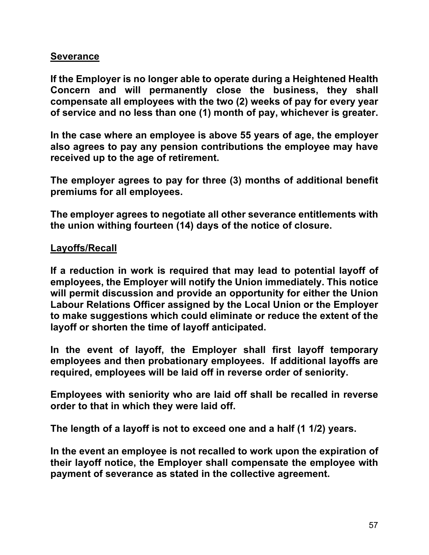#### **Severance**

**If the Employer is no longer able to operate during a Heightened Health Concern and will permanently close the business, they shall compensate all employees with the two (2) weeks of pay for every year of service and no less than one (1) month of pay, whichever is greater.**

**In the case where an employee is above 55 years of age, the employer also agrees to pay any pension contributions the employee may have received up to the age of retirement.**

**The employer agrees to pay for three (3) months of additional benefit premiums for all employees.**

**The employer agrees to negotiate all other severance entitlements with the union withing fourteen (14) days of the notice of closure.**

#### **Layoffs/Recall**

**If a reduction in work is required that may lead to potential layoff of employees, the Employer will notify the Union immediately. This notice will permit discussion and provide an opportunity for either the Union Labour Relations Officer assigned by the Local Union or the Employer to make suggestions which could eliminate or reduce the extent of the layoff or shorten the time of layoff anticipated.**

**In the event of layoff, the Employer shall first layoff temporary employees and then probationary employees. If additional layoffs are required, employees will be laid off in reverse order of seniority.**

**Employees with seniority who are laid off shall be recalled in reverse order to that in which they were laid off.** 

**The length of a layoff is not to exceed one and a half (1 1/2) years.** 

**In the event an employee is not recalled to work upon the expiration of their layoff notice, the Employer shall compensate the employee with payment of severance as stated in the collective agreement.**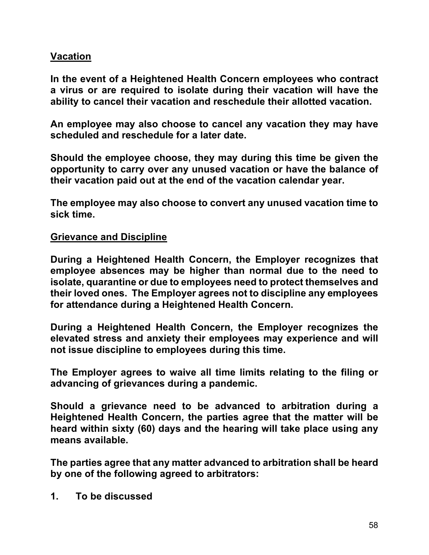### **Vacation**

**In the event of a Heightened Health Concern employees who contract a virus or are required to isolate during their vacation will have the ability to cancel their vacation and reschedule their allotted vacation.**

**An employee may also choose to cancel any vacation they may have scheduled and reschedule for a later date.** 

**Should the employee choose, they may during this time be given the opportunity to carry over any unused vacation or have the balance of their vacation paid out at the end of the vacation calendar year.**

**The employee may also choose to convert any unused vacation time to sick time.**

#### **Grievance and Discipline**

**During a Heightened Health Concern, the Employer recognizes that employee absences may be higher than normal due to the need to isolate, quarantine or due to employees need to protect themselves and their loved ones. The Employer agrees not to discipline any employees for attendance during a Heightened Health Concern.**

**During a Heightened Health Concern, the Employer recognizes the elevated stress and anxiety their employees may experience and will not issue discipline to employees during this time.**

**The Employer agrees to waive all time limits relating to the filing or advancing of grievances during a pandemic.**

**Should a grievance need to be advanced to arbitration during a Heightened Health Concern, the parties agree that the matter will be heard within sixty (60) days and the hearing will take place using any means available.** 

**The parties agree that any matter advanced to arbitration shall be heard by one of the following agreed to arbitrators:**

**1. To be discussed**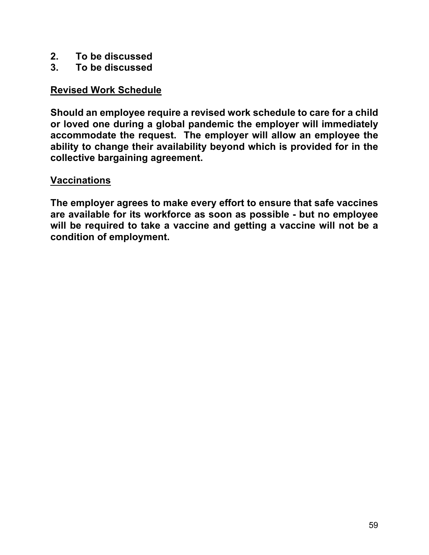- **2. To be discussed**
- **3. To be discussed**

### **Revised Work Schedule**

**Should an employee require a revised work schedule to care for a child or loved one during a global pandemic the employer will immediately accommodate the request. The employer will allow an employee the ability to change their availability beyond which is provided for in the collective bargaining agreement.**

#### **Vaccinations**

**The employer agrees to make every effort to ensure that safe vaccines are available for its workforce as soon as possible - but no employee will be required to take a vaccine and getting a vaccine will not be a condition of employment.**